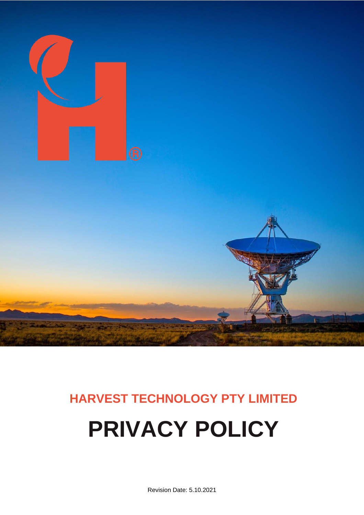

# **HARVEST TECHNOLOGY PTY LIMITED PRIVACY POLICY**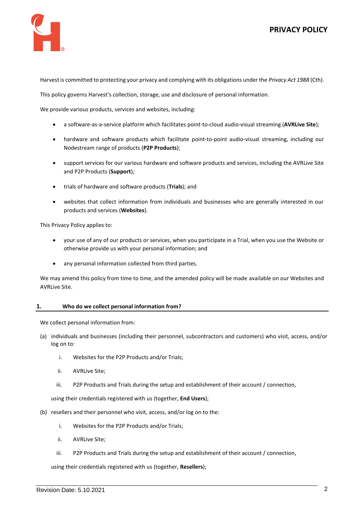



Harvest is committed to protecting your privacy and complying with its obligations under the *Privacy Act 1988* (Cth).

This policy governs Harvest's collection, storage, use and disclosure of personal information.

We provide various products, services and websites, including:

- a software-as-a-service platform which facilitates point-to-cloud audio-visual streaming (**AVRLive Site**);
- hardware and software products which facilitate point-to-point audio-visual streaming, including our Nodestream range of products (**P2P Products**);
- support services for our various hardware and software products and services, including the AVRLive Site and P2P Products (**Support**);
- trials of hardware and software products (**Trials**); and
- websites that collect information from individuals and businesses who are generally interested in our products and services (**Websites**).

This Privacy Policy applies to:

- your use of any of our products or services, when you participate in a Trial, when you use the Website or otherwise provide us with your personal information; and
- any personal information collected from third parties.

We may amend this policy from time to time, and the amended policy will be made available on our Websites and AVRLive Site.

# <span id="page-1-0"></span>**1. Who do we collect personal information from?**

We collect personal information from:

- (a) individuals and businesses (including their personnel, subcontractors and customers) who visit, access, and/or log on to:
	- i. Websites for the P2P Products and/or Trials;
	- ii. AVRLive Site;
	- iii. P2P Products and Trials during the setup and establishment of their account / connection,

using their credentials registered with us (together, **End Users**);

- (b) resellers and their personnel who visit, access, and/or log on to the:
	- i. Websites for the P2P Products and/or Trials;
	- ii. AVRLive Site;
	- iii. P2P Products and Trials during the setup and establishment of their account / connection,

using their credentials registered with us (together, **Resellers**);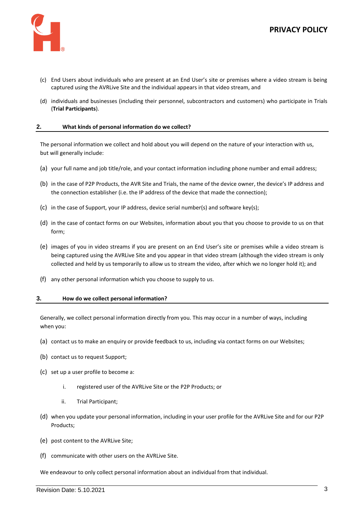



- (c) End Users about individuals who are present at an End User's site or premises where a video stream is being captured using the AVRLive Site and the individual appears in that video stream, and
- (d) individuals and businesses (including their personnel, subcontractors and customers) who participate in Trials (**Trial Participants**).

# **2. What kinds of personal information do we collect?**

The personal information we collect and hold about you will depend on the nature of your interaction with us, but will generally include:

- (a) your full name and job title/role, and your contact information including phone number and email address;
- (b) in the case of P2P Products, the AVR Site and Trials, the name of the device owner, the device's IP address and the connection establisher (i.e. the IP address of the device that made the connection);
- (c) in the case of Support, your IP address, device serial number(s) and software key(s);
- (d) in the case of contact forms on our Websites, information about you that you choose to provide to us on that form;
- (e) images of you in video streams if you are present on an End User's site or premises while a video stream is being captured using the AVRLive Site and you appear in that video stream (although the video stream is only collected and held by us temporarily to allow us to stream the video, after which we no longer hold it); and
- (f) any other personal information which you choose to supply to us.

#### **3. How do we collect personal information?**

Generally, we collect personal information directly from you. This may occur in a number of ways, including when you:

- (a) contact us to make an enquiry or provide feedback to us, including via contact forms on our Websites;
- (b) contact us to request Support;
- (c) set up a user profile to become a:
	- i. registered user of the AVRLive Site or the P2P Products; or
	- ii. Trial Participant;
- (d) when you update your personal information, including in your user profile for the AVRLive Site and for our P2P Products;
- (e) post content to the AVRLive Site;
- (f) communicate with other users on the AVRLive Site.

We endeavour to only collect personal information about an individual from that individual.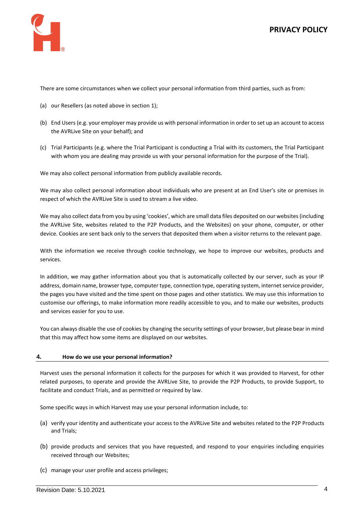

There are some circumstances when we collect your personal information from third parties, such as from:

- (a) our Resellers (as noted above in section [1\)](#page-1-0);
- (b) End Users (e.g. your employer may provide us with personal information in order to set up an account to access the AVRLive Site on your behalf); and
- (c) Trial Participants (e.g. where the Trial Participant is conducting a Trial with its customers, the Trial Participant with whom you are dealing may provide us with your personal information for the purpose of the Trial).

We may also collect personal information from publicly available records.

We may also collect personal information about individuals who are present at an End User's site or premises in respect of which the AVRLive Site is used to stream a live video.

We may also collect data from you by using 'cookies', which are small data files deposited on our websites (including the AVRLive Site, websites related to the P2P Products, and the Websites) on your phone, computer, or other device. Cookies are sent back only to the servers that deposited them when a visitor returns to the relevant page.

With the information we receive through cookie technology, we hope to improve our websites, products and services.

In addition, we may gather information about you that is automatically collected by our server, such as your IP address, domain name, browser type, computer type, connection type, operating system, internet service provider, the pages you have visited and the time spent on those pages and other statistics. We may use this information to customise our offerings, to make information more readily accessible to you, and to make our websites, products and services easier for you to use.

You can always disable the use of cookies by changing the security settings of your browser, but please bear in mind that this may affect how some items are displayed on our websites.

# **4. How do we use your personal information?**

Harvest uses the personal information it collects for the purposes for which it was provided to Harvest, for other related purposes, to operate and provide the AVRLive Site, to provide the P2P Products, to provide Support, to facilitate and conduct Trials, and as permitted or required by law.

Some specific ways in which Harvest may use your personal information include, to:

- (a) verify your identity and authenticate your access to the AVRLive Site and websites related to the P2P Products and Trials;
- (b) provide products and services that you have requested, and respond to your enquiries including enquiries received through our Websites;
- (c) manage your user profile and access privileges;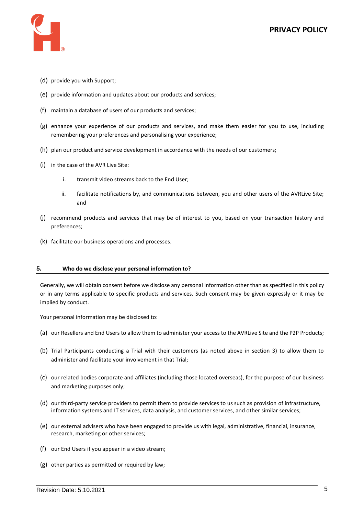

- (d) provide you with Support;
- (e) provide information and updates about our products and services;
- (f) maintain a database of users of our products and services;
- (g) enhance your experience of our products and services, and make them easier for you to use, including remembering your preferences and personalising your experience;
- (h) plan our product and service development in accordance with the needs of our customers;
- (i) in the case of the AVR Live Site:
	- i. transmit video streams back to the End User;
	- ii. facilitate notifications by, and communications between, you and other users of the AVRLive Site; and
- (j) recommend products and services that may be of interest to you, based on your transaction history and preferences;
- (k) facilitate our business operations and processes.

# **5. Who do we disclose your personal information to?**

Generally, we will obtain consent before we disclose any personal information other than as specified in this policy or in any terms applicable to specific products and services. Such consent may be given expressly or it may be implied by conduct.

Your personal information may be disclosed to:

- (a) our Resellers and End Users to allow them to administer your access to the AVRLive Site and the P2P Products;
- (b) Trial Participants conducting a Trial with their customers (as noted above in section 3) to allow them to administer and facilitate your involvement in that Trial;
- (c) our related bodies corporate and affiliates (including those located overseas), for the purpose of our business and marketing purposes only;
- (d) our third-party service providers to permit them to provide services to us such as provision of infrastructure, information systems and IT services, data analysis, and customer services, and other similar services;
- (e) our external advisers who have been engaged to provide us with legal, administrative, financial, insurance, research, marketing or other services;
- (f) our End Users if you appear in a video stream;
- (g) other parties as permitted or required by law;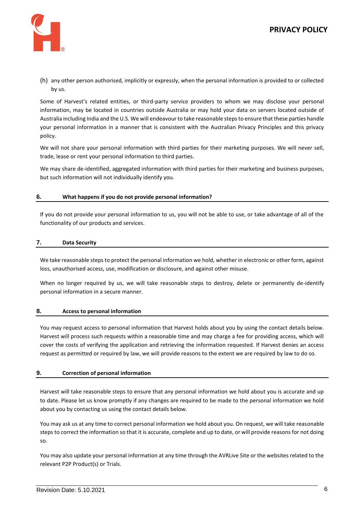

(h) any other person authorised, implicitly or expressly, when the personal information is provided to or collected by us.

Some of Harvest's related entities, or third-party service providers to whom we may disclose your personal information, may be located in countries outside Australia or may hold your data on servers located outside of Australia including India and the U.S. We will endeavour to take reasonable steps to ensure that these parties handle your personal information in a manner that is consistent with the Australian Privacy Principles and this privacy policy.

We will not share your personal information with third parties for their marketing purposes. We will never sell, trade, lease or rent your personal information to third parties.

We may share de-identified, aggregated information with third parties for their marketing and business purposes, but such information will not individually identify you.

# **6. What happens if you do not provide personal information?**

If you do not provide your personal information to us, you will not be able to use, or take advantage of all of the functionality of our products and services.

# **7. Data Security**

We take reasonable steps to protect the personal information we hold, whether in electronic or other form, against loss, unauthorised access, use, modification or disclosure, and against other misuse.

When no longer required by us, we will take reasonable steps to destroy, delete or permanently de-identify personal information in a secure manner.

# **8. Access to personal information**

You may request access to personal information that Harvest holds about you by using the contact details below. Harvest will process such requests within a reasonable time and may charge a fee for providing access, which will cover the costs of verifying the application and retrieving the information requested. If Harvest denies an access request as permitted or required by law, we will provide reasons to the extent we are required by law to do so.

# **9. Correction of personal information**

Harvest will take reasonable steps to ensure that any personal information we hold about you is accurate and up to date. Please let us know promptly if any changes are required to be made to the personal information we hold about you by contacting us using the contact details below.

You may ask us at any time to correct personal information we hold about you. On request, we will take reasonable steps to correct the information so that it is accurate, complete and up to date, or will provide reasons for not doing so.

You may also update your personal information at any time through the AVRLive Site or the websites related to the relevant P2P Product(s) or Trials.